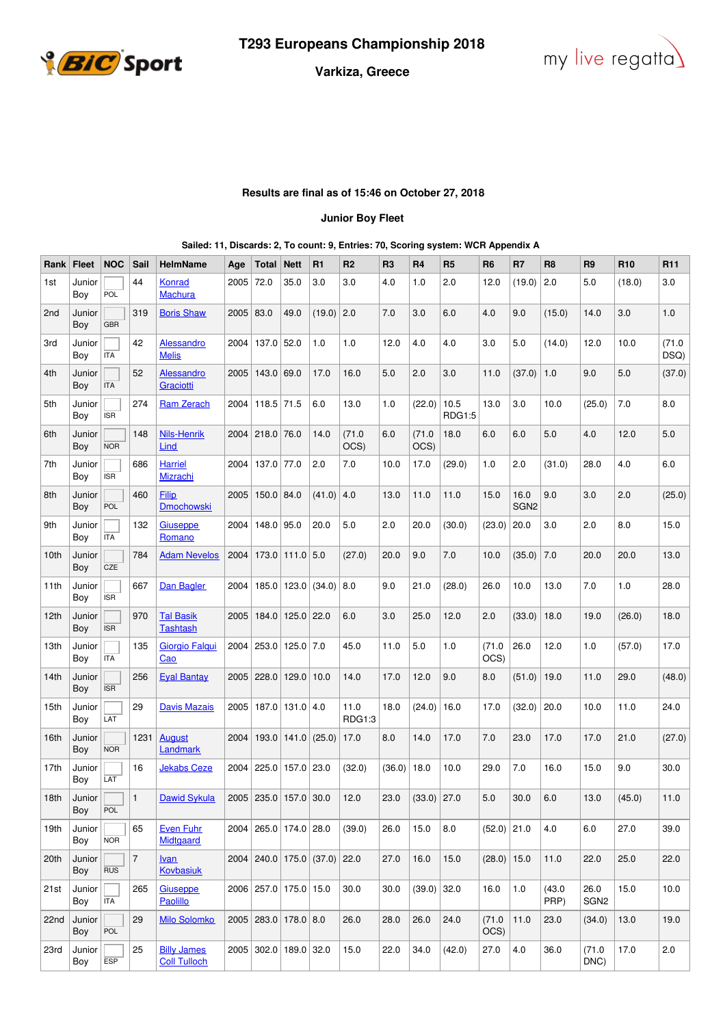



## **Varkiza, Greece**

## **Results are final as of 15:46 on October 27, 2018**

## **Junior Boy Fleet**

|  | Sailed: 11, Discards: 2, To count: 9, Entries: 70, Scoring system: WCR Appendix A |
|--|-----------------------------------------------------------------------------------|

| Rank             | <b>Fleet</b>          | <b>NOC</b> | Sail            | <b>HelmName</b>                           | Age  | Total                    | <b>Nett</b>           | R1                                     | R <sub>2</sub> | R <sub>3</sub> | <b>R4</b>     | R <sub>5</sub> | R <sub>6</sub> | R7                       | R <sub>8</sub> | R9                       | R <sub>10</sub> | R <sub>11</sub> |
|------------------|-----------------------|------------|-----------------|-------------------------------------------|------|--------------------------|-----------------------|----------------------------------------|----------------|----------------|---------------|----------------|----------------|--------------------------|----------------|--------------------------|-----------------|-----------------|
| 1st              | Junior<br>Boy         | POL        | 44              | Konrad<br><b>Machura</b>                  | 2005 | 72.0                     | 35.0                  | 3.0                                    | 3.0            | 4.0            | 1.0           | 2.0            | 12.0           | (19.0)                   | 2.0            | 5.0                      | (18.0)          | 3.0             |
| 2 <sub>nd</sub>  | Junior<br>Boy         | <b>GBR</b> | 319             | <b>Boris Shaw</b>                         | 2005 | 83.0                     | 49.0                  | (19.0)                                 | 2.0            | 7.0            | 3.0           | 6.0            | 4.0            | 9.0                      | (15.0)         | 14.0                     | 3.0             | 1.0             |
| 3rd              | Junior<br>Boy         | <b>ITA</b> | 42              | <b>Alessandro</b><br><b>Melis</b>         | 2004 | 137.0 52.0               |                       | 1.0                                    | 1.0            | 12.0           | 4.0           | 4.0            | 3.0            | 5.0                      | (14.0)         | 12.0                     | 10.0            | (71.0)<br>DSQ)  |
| 4th              | Junior<br>Boy         | <b>ITA</b> | 52              | <b>Alessandro</b><br>Graciotti            | 2005 | 143.0                    | 69.0                  | 17.0                                   | 16.0           | 5.0            | 2.0           | 3.0            | 11.0           | (37.0)                   | 1.0            | 9.0                      | 5.0             | (37.0)          |
| 5th              | Junior<br>Boy         | <b>ISR</b> | 274             | <b>Ram Zerach</b>                         | 2004 | $118.5$ 71.5             |                       | 6.0                                    | 13.0           | 1.0            | (22.0)        | 10.5<br>RDG1:5 | 13.0           | 3.0                      | 10.0           | (25.0)                   | 7.0             | 8.0             |
| 6th              | Junior<br>Boy         | <b>NOR</b> | 148             | Nils-Henrik<br>Lind                       | 2004 | 218.0                    | 76.0                  | 14.0                                   | (71.0<br>OCS)  | 6.0            | (71.0<br>OCS) | 18.0           | 6.0            | 6.0                      | 5.0            | 4.0                      | 12.0            | 5.0             |
| 7th              | Junior<br>Boy         | <b>ISR</b> | 686             | <b>Harriel</b><br><b>Mizrachi</b>         | 2004 | 137.0                    | 77.0                  | 2.0                                    | 7.0            | 10.0           | 17.0          | (29.0)         | 1.0            | 2.0                      | (31.0)         | 28.0                     | 4.0             | 6.0             |
| 8th              | Junior<br>Boy         | POL        | 460             | Filip<br><b>Dmochowski</b>                | 2005 | 150.0                    | 84.0                  | (41.0)                                 | 4.0            | 13.0           | 11.0          | 11.0           | 15.0           | 16.0<br>SGN <sub>2</sub> | 9.0            | 3.0                      | 2.0             | (25.0)          |
| 9th              | Junior<br>Boy         | <b>ITA</b> | 132             | Giuseppe<br>Romano                        | 2004 | 148.0 95.0               |                       | 20.0                                   | 5.0            | 2.0            | 20.0          | (30.0)         | (23.0)         | 20.0                     | 3.0            | 2.0                      | 8.0             | 15.0            |
| 10th             | Junior<br>Boy         | CZE        | 784             | <b>Adam Nevelos</b>                       | 2004 |                          | $173.0$   111.0   5.0 |                                        | (27.0)         | 20.0           | 9.0           | 7.0            | 10.0           | (35.0)                   | 7.0            | 20.0                     | 20.0            | 13.0            |
| 11th             | Junior<br>Boy         | <b>ISR</b> | 667             | Dan Bagler                                |      | 2004   185.0   123.0     |                       | (34.0)                                 | 8.0            | 9.0            | 21.0          | (28.0)         | 26.0           | 10.0                     | 13.0           | 7.0                      | 1.0             | 28.0            |
| 12 <sub>th</sub> | Junior<br>Boy         | <b>ISR</b> | 970             | <b>Tal Basik</b><br>Tashtash              | 2005 |                          | 184.0 125.0 22.0      |                                        | 6.0            | 3.0            | 25.0          | 12.0           | 2.0            | (33.0)                   | 18.0           | 19.0                     | (26.0)          | 18.0            |
| 13th             | Junior<br>Boy         | <b>ITA</b> | 135             | Giorgio Falgui<br><u>Cao</u>              | 2004 | 253.0                    | $125.0$ 7.0           |                                        | 45.0           | 11.0           | 5.0           | 1.0            | (71.0)<br>OCS) | 26.0                     | 12.0           | 1.0                      | (57.0)          | 17.0            |
| 14th             | Junior<br>Boy         | <b>ISR</b> | 256             | <b>Eyal Bantay</b>                        |      | 2005 228.0               | 129.0                 | 10.0                                   | 14.0           | 17.0           | 12.0          | 9.0            | 8.0            | (51.0)                   | 19.0           | 11.0                     | 29.0            | (48.0)          |
| 15th             | Junior<br>Boy         | LAT        | 29              | <b>Davis Mazais</b>                       | 2005 |                          | 187.0 131.0 4.0       |                                        | 11.0<br>RDG1:3 | 18.0           | (24.0)        | 16.0           | 17.0           | (32.0)                   | 20.0           | 10.0                     | 11.0            | 24.0            |
| 16th             | Junior<br>Boy         | <b>NOR</b> | 1231            | <b>August</b><br>Landmark                 | 2004 | 193.0                    | 141.0                 | (25.0)                                 | 17.0           | 8.0            | 14.0          | 17.0           | 7.0            | 23.0                     | 17.0           | 17.0                     | 21.0            | (27.0)          |
| 17th             | Junior<br>Boy         | LAT        | 16              | <b>Jekabs Ceze</b>                        | 2004 |                          | 225.0 157.0 23.0      |                                        | (32.0)         | (36.0)         | 18.0          | 10.0           | 29.0           | 7.0                      | 16.0           | 15.0                     | 9.0             | 30.0            |
| 18th             | $ $ Junior $ $<br>Boy | POL        | $\vert 1 \vert$ | Dawid Sykula                              |      |                          |                       | $2005$ 235.0 157.0 30.0 12.0           |                | 23.0           | $(33.0)$ 27.0 |                | $5.0\,$        | $30.0\,$                 | $6.0\,$        | 13.0                     | (45.0)          | 11.0            |
| 19th             | Junior<br>Boy         | <b>NOR</b> | 65              | <b>Even Fuhr</b><br>Midtgaard             |      | 2004 265.0 174.0 28.0    |                       |                                        | (39.0)         | 26.0           | 15.0          | 8.0            | $(52.0)$ 21.0  |                          | 4.0            | 6.0                      | 27.0            | 39.0            |
| 20th             | Junior<br>Boy         | RUS        | 7               | Ivan<br><b>Kovbasiuk</b>                  |      |                          |                       | $2004$   240.0   175.0   (37.0)   22.0 |                | 27.0           | 16.0          | 15.0           | $(28.0)$ 15.0  |                          | 11.0           | 22.0                     | 25.0            | 22.0            |
| 21st             | Junior<br>Boy         | <b>ITA</b> | 265             | Giuseppe<br>Paolillo                      |      | 2006 257.0 175.0 15.0    |                       |                                        | 30.0           | 30.0           | $(39.0)$ 32.0 |                | 16.0           | 1.0                      | (43.0)<br>PRP) | 26.0<br>SGN <sub>2</sub> | 15.0            | 10.0            |
| 22nd             | Junior<br>Boy         | POL        | 29              | <b>Milo Solomko</b>                       |      | $2005$ $283.0$ 178.0 8.0 |                       |                                        | 26.0           | 28.0           | 26.0          | 24.0           | (71.0)<br>OCS) | 11.0                     | 23.0           | (34.0)                   | 13.0            | 19.0            |
| 23rd             | Junior<br>Boy         | <b>ESP</b> | 25              | <b>Billy James</b><br><b>Coll Tulloch</b> |      | 2005 302.0 189.0 32.0    |                       |                                        | 15.0           | 22.0           | 34.0          | (42.0)         | 27.0           | 4.0                      | 36.0           | (71.0<br>DNC)            | 17.0            | 2.0             |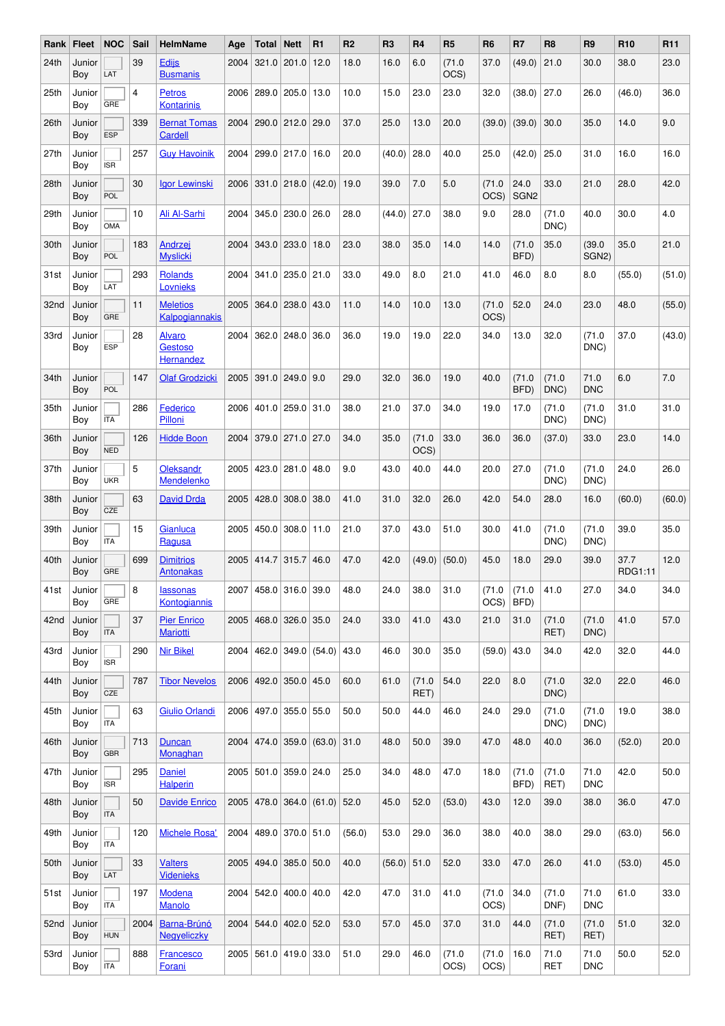| Rank | <b>Fleet</b>       | <b>NOC</b> | Sail | <b>HelmName</b>                              | Age  | Total                       | $\vert$ Nett           | R1                             | R <sub>2</sub> | R <sub>3</sub> | R <sub>4</sub> | R <sub>5</sub> | R <sub>6</sub> | R7                         | R <sub>8</sub>     | R <sub>9</sub>               | R <sub>10</sub> | R <sub>11</sub> |
|------|--------------------|------------|------|----------------------------------------------|------|-----------------------------|------------------------|--------------------------------|----------------|----------------|----------------|----------------|----------------|----------------------------|--------------------|------------------------------|-----------------|-----------------|
| 24th | Junior<br>Boy      | LAT        | 39   | <b>Edijs</b><br><b>Busmanis</b>              | 2004 |                             | 321.0 201.0            | 12.0                           | 18.0           | 16.0           | 6.0            | (71.0<br>OCS)  | 37.0           | (49.0)                     | 21.0               | 30.0                         | 38.0            | 23.0            |
| 25th | Junior<br>Boy      | GRE        | 4    | <b>Petros</b><br><b>Kontarinis</b>           |      | 2006   289.0   205.0        |                        | 13.0                           | 10.0           | 15.0           | 23.0           | 23.0           | 32.0           | (38.0)                     | 27.0               | 26.0                         | (46.0)          | 36.0            |
| 26th | Junior<br>Boy      | <b>ESP</b> | 339  | <b>Bernat Tomas</b><br><b>Cardell</b>        |      | 2004 290.0 212.0 29.0       |                        |                                | 37.0           | 25.0           | 13.0           | 20.0           | (39.0)         | (39.0)                     | 30.0               | 35.0                         | 14.0            | 9.0             |
| 27th | Junior<br>Boy      | <b>ISR</b> | 257  | <b>Guy Havoinik</b>                          | 2004 | 299.0 217.0 16.0            |                        |                                | 20.0           | $(40.0)$ 28.0  |                | 40.0           | 25.0           | (42.0)                     | 25.0               | 31.0                         | 16.0            | 16.0            |
| 28th | Junior<br>Boy      | POL        | 30   | <b>Igor Lewinski</b>                         | 2006 | $ 331.0 218.0 $ (42.0)      |                        |                                | 19.0           | 39.0           | 7.0            | 5.0            | (71.0<br>OCS)  | 24.0<br>SGN <sub>2</sub>   | 33.0               | 21.0                         | 28.0            | 42.0            |
| 29th | Junior<br>Boy      | OMA        | 10   | Ali Al-Sarhi                                 | 2004 |                             | $345.0$ 230.0          | 26.0                           | 28.0           | (44.0)         | 27.0           | 38.0           | 9.0            | 28.0                       | (71.0<br>DNC)      | 40.0                         | 30.0            | 4.0             |
| 30th | Junior<br>Boy      | POL        | 183  | Andrzej<br><b>Myslicki</b>                   | 2004 |                             | 343.0 233.0            | 18.0                           | 23.0           | 38.0           | 35.0           | 14.0           | 14.0           | (71.0<br>BFD)              | 35.0               | (39.0)<br>SGN <sub>2</sub> ) | 35.0            | 21.0            |
| 31st | Junior<br>Boy      | LAT        | 293  | <b>Rolands</b><br>Lovnieks                   | 2004 |                             | 341.0 235.0 21.0       |                                | 33.0           | 49.0           | 8.0            | 21.0           | 41.0           | 46.0                       | 8.0                | 8.0                          | (55.0)          | (51.0)          |
| 32nd | Junior<br>Boy      | GRE        | 11   | <b>Meletios</b><br>Kalpogiannakis            | 2005 | 364.0 238.0                 |                        | 43.0                           | 11.0           | 14.0           | 10.0           | 13.0           | (71.0<br>OCS)  | 52.0                       | 24.0               | 23.0                         | 48.0            | (55.0)          |
| 33rd | Junior<br>Boy      | <b>ESP</b> | 28   | <b>Alvaro</b><br><b>Gestoso</b><br>Hernandez | 2004 |                             | $362.0$   248.0   36.0 |                                | 36.0           | 19.0           | 19.0           | 22.0           | 34.0           | 13.0                       | 32.0               | (71.0<br>DNC)                | 37.0            | (43.0)          |
| 34th | Junior<br>Boy      | POL        | 147  | <b>Olaf Grodzicki</b>                        | 2005 |                             | 391.0 249.0 9.0        |                                | 29.0           | 32.0           | 36.0           | 19.0           | 40.0           | (71.0<br>BFD)              | (71.0<br>DNC)      | 71.0<br><b>DNC</b>           | 6.0             | 7.0             |
| 35th | Junior<br>Boy      | <b>ITA</b> | 286  | Federico<br>Pilloni                          | 2006 | 401.0 259.0 31.0            |                        |                                | 38.0           | 21.0           | 37.0           | 34.0           | 19.0           | 17.0                       | (71.0<br>DNC)      | (71.0<br>DNC)                | 31.0            | 31.0            |
| 36th | Junior<br>Boy      | <b>NED</b> | 126  | <b>Hidde Boon</b>                            | 2004 |                             | 379.0 271.0 27.0       |                                | 34.0           | 35.0           | (71.0<br>OCS)  | 33.0           | 36.0           | 36.0                       | (37.0)             | 33.0                         | 23.0            | 14.0            |
| 37th | Junior<br>Boy      | <b>UKR</b> | 5    | Oleksandr<br>Mendelenko                      | 2005 |                             | 423.0 281.0 48.0       |                                | 9.0            | 43.0           | 40.0           | 44.0           | 20.0           | 27.0                       | (71.0<br>DNC)      | (71.0<br>DNC)                | 24.0            | 26.0            |
| 38th | Junior<br>Boy      | CZE        | 63   | <b>David Drda</b>                            |      | 2005 428.0                  | 308.0                  | 38.0                           | 41.0           | 31.0           | 32.0           | 26.0           | 42.0           | 54.0                       | 28.0               | 16.0                         | (60.0)          | (60.0)          |
| 39th | Junior<br>Boy      | <b>ITA</b> | 15   | Gianluca<br>Ragusa                           | 2005 |                             | 450.0 308.0            | 11.0                           | 21.0           | 37.0           | 43.0           | 51.0           | 30.0           | 41.0                       | (71.0<br>DNC)      | (71.0<br>DNC)                | 39.0            | 35.0            |
| 40th | Junior<br>Boy      | GRE        | 699  | <b>Dimitrios</b><br><b>Antonakas</b>         | 2005 |                             | 414.7 315.7            | 46.0                           | 47.0           | 42.0           | (49.0)         | (50.0)         | 45.0           | 18.0                       | 29.0               | 39.0                         | 37.7<br>RDG1:11 | 12.0            |
|      | 41st Junior<br>Boy | GRE        | 8    | lassonas<br>Kontogiannis                     |      | 2007   458.0   316.0   39.0 |                        |                                | 48.0           | 24.0           | 38.0           | 31.0           | OCS)           | $(71.0 \mid (71.0$<br>BFD) | 41.0               | 27.0                         | 34.0            | 34.0            |
| 42nd | Junior<br>Boy      | <b>ITA</b> | 37   | <b>Pier Enrico</b><br><b>Mariotti</b>        |      | 2005 468.0 326.0 35.0       |                        |                                | 24.0           | 33.0           | 41.0           | 43.0           | 21.0           | 31.0                       | (71.0<br>RET)      | (71.0<br>DNC)                | 41.0            | 57.0            |
| 43rd | Junior<br>Boy      | <b>ISR</b> | 290  | <b>Nir Bikel</b>                             | 2004 |                             |                        | 462.0 349.0 (54.0) 43.0        |                | 46.0           | 30.0           | 35.0           | $(59.0)$ 43.0  |                            | 34.0               | 42.0                         | 32.0            | 44.0            |
| 44th | Junior<br>Boy      | CZE        | 787  | <b>Tibor Nevelos</b>                         |      | 2006 492.0 350.0 45.0       |                        |                                | 60.0           | 61.0           | (71.0)<br>RET) | 54.0           | 22.0           | 8.0                        | (71.0<br>DNC)      | 32.0                         | 22.0            | 46.0            |
| 45th | Junior<br>Boy      | <b>ITA</b> | 63   | Giulio Orlandi                               |      | 2006 497.0 355.0 55.0       |                        |                                | 50.0           | 50.0           | 44.0           | 46.0           | 24.0           | 29.0                       | (71.0<br>DNC)      | (71.0<br>DNC)                | 19.0            | 38.0            |
| 46th | Junior<br>Boy      | <b>GBR</b> | 713  | Duncan<br>Monaghan                           | 2004 |                             |                        | 474.0 359.0  (63.0) 31.0       |                | 48.0           | 50.0           | 39.0           | 47.0           | 48.0                       | 40.0               | 36.0                         | (52.0)          | 20.0            |
| 47th | Junior<br>Boy      | <b>ISR</b> | 295  | <b>Daniel</b><br><b>Halperin</b>             |      | 2005   501.0   359.0   24.0 |                        |                                | 25.0           | 34.0           | 48.0           | 47.0           | 18.0           | (71.0<br>BFD)              | (71.0<br>RET)      | 71.0<br><b>DNC</b>           | 42.0            | 50.0            |
| 48th | Junior<br>Boy      | <b>ITA</b> | 50   | <b>Davide Enrico</b>                         |      |                             |                        | $2005$ 478.0 364.0 (61.0) 52.0 |                | 45.0           | 52.0           | (53.0)         | 43.0           | 12.0                       | 39.0               | 38.0                         | 36.0            | 47.0            |
| 49th | Junior<br>Boy      | <b>ITA</b> | 120  | Michele Rosa'                                |      | 2004 489.0 370.0 51.0       |                        |                                | (56.0)         | 53.0           | 29.0           | 36.0           | 38.0           | 40.0                       | 38.0               | 29.0                         | (63.0)          | 56.0            |
| 50th | Junior<br>Boy      | LAT        | 33   | <b>Valters</b><br><b>Videnieks</b>           |      | 2005 494.0 385.0 50.0       |                        |                                | 40.0           | $(56.0)$ 51.0  |                | 52.0           | 33.0           | 47.0                       | 26.0               | 41.0                         | (53.0)          | 45.0            |
| 51st | Junior<br>Boy      | <b>ITA</b> | 197  | Modena<br><b>Manolo</b>                      |      | 2004 542.0 400.0 40.0       |                        |                                | 42.0           | 47.0           | 31.0           | 41.0           | (71.0<br>OCS)  | 34.0                       | (71.0<br>DNF)      | 71.0<br><b>DNC</b>           | 61.0            | 33.0            |
| 52nd | Junior<br>Boy      | <b>HUN</b> | 2004 | Barna-Brúnó<br>Negyeliczky                   | 2004 | 544.0 402.0 52.0            |                        |                                | 53.0           | 57.0           | 45.0           | 37.0           | 31.0           | 44.0                       | (71.0)<br>RET)     | (71.0<br>RET)                | 51.0            | 32.0            |
| 53rd | Junior<br>Boy      | <b>ITA</b> | 888  | Francesco<br><u>Forani</u>                   | 2005 | 561.0 419.0 33.0            |                        |                                | 51.0           | 29.0           | 46.0           | (71.0<br>OCS)  | (71.0<br>OCS)  | 16.0                       | 71.0<br><b>RET</b> | 71.0<br><b>DNC</b>           | 50.0            | 52.0            |